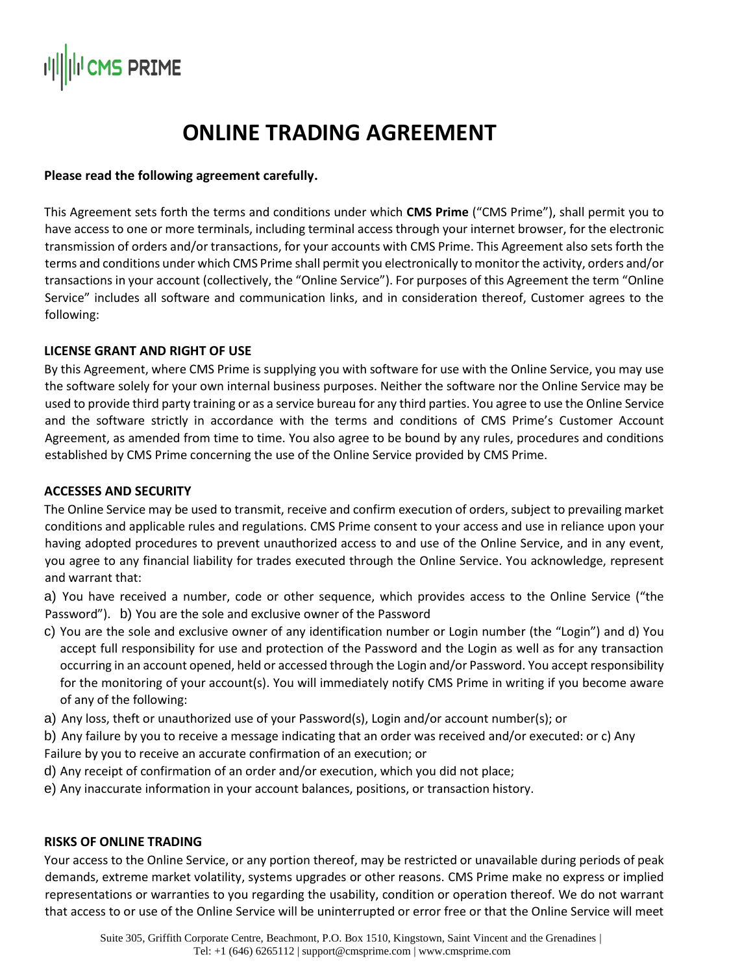# I<sup>I</sup>CMS PRIME

### **ONLINE TRADING AGREEMENT**

#### **Please read the following agreement carefully.**

This Agreement sets forth the terms and conditions under which **CMS Prime** ("CMS Prime"), shall permit you to have access to one or more terminals, including terminal access through your internet browser, for the electronic transmission of orders and/or transactions, for your accounts with CMS Prime. This Agreement also sets forth the terms and conditions under which CMS Prime shall permit you electronically to monitor the activity, orders and/or transactions in your account (collectively, the "Online Service"). For purposes of this Agreement the term "Online Service" includes all software and communication links, and in consideration thereof, Customer agrees to the following:

#### **LICENSE GRANT AND RIGHT OF USE**

By this Agreement, where CMS Prime is supplying you with software for use with the Online Service, you may use the software solely for your own internal business purposes. Neither the software nor the Online Service may be used to provide third party training or as a service bureau for any third parties. You agree to use the Online Service and the software strictly in accordance with the terms and conditions of CMS Prime's Customer Account Agreement, as amended from time to time. You also agree to be bound by any rules, procedures and conditions established by CMS Prime concerning the use of the Online Service provided by CMS Prime.

#### **ACCESSES AND SECURITY**

The Online Service may be used to transmit, receive and confirm execution of orders, subject to prevailing market conditions and applicable rules and regulations. CMS Prime consent to your access and use in reliance upon your having adopted procedures to prevent unauthorized access to and use of the Online Service, and in any event, you agree to any financial liability for trades executed through the Online Service. You acknowledge, represent and warrant that:

a) You have received a number, code or other sequence, which provides access to the Online Service ("the Password"). b) You are the sole and exclusive owner of the Password

- c) You are the sole and exclusive owner of any identification number or Login number (the "Login") and d) You accept full responsibility for use and protection of the Password and the Login as well as for any transaction occurring in an account opened, held or accessed through the Login and/or Password. You accept responsibility for the monitoring of your account(s). You will immediately notify CMS Prime in writing if you become aware of any of the following:
- a) Any loss, theft or unauthorized use of your Password(s), Login and/or account number(s); or
- b) Any failure by you to receive a message indicating that an order was received and/or executed: or c) Any Failure by you to receive an accurate confirmation of an execution; or
- d) Any receipt of confirmation of an order and/or execution, which you did not place;
- e) Any inaccurate information in your account balances, positions, or transaction history.

#### **RISKS OF ONLINE TRADING**

Your access to the Online Service, or any portion thereof, may be restricted or unavailable during periods of peak demands, extreme market volatility, systems upgrades or other reasons. CMS Prime make no express or implied representations or warranties to you regarding the usability, condition or operation thereof. We do not warrant that access to or use of the Online Service will be uninterrupted or error free or that the Online Service will meet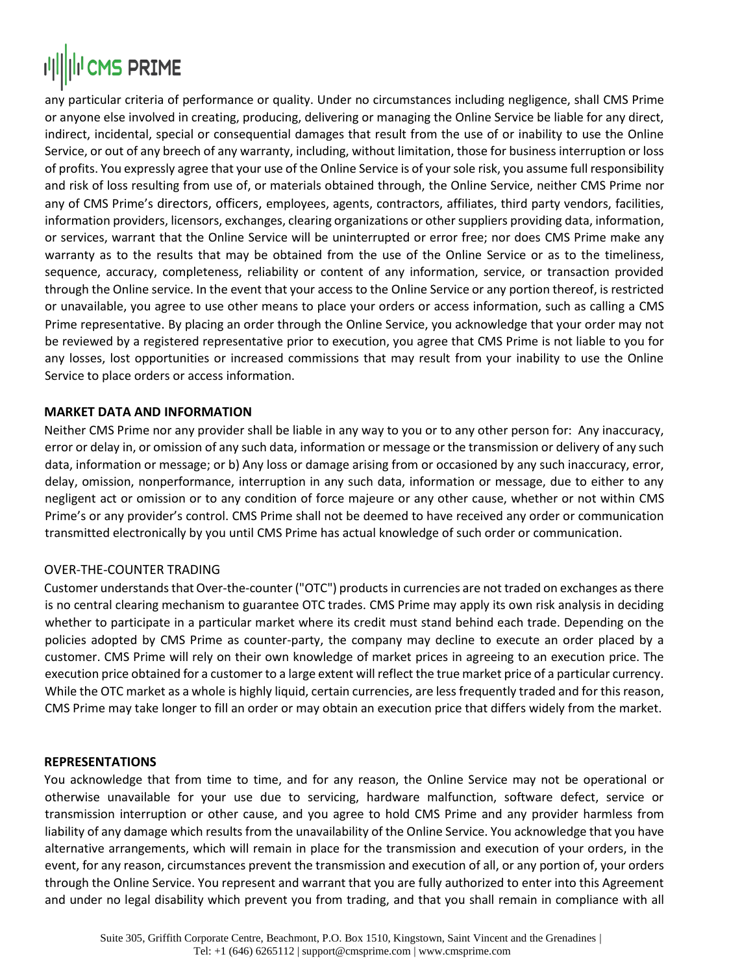## **|||||||IICMS PRIME**

any particular criteria of performance or quality. Under no circumstances including negligence, shall CMS Prime or anyone else involved in creating, producing, delivering or managing the Online Service be liable for any direct, indirect, incidental, special or consequential damages that result from the use of or inability to use the Online Service, or out of any breech of any warranty, including, without limitation, those for business interruption or loss of profits. You expressly agree that your use of the Online Service is of your sole risk, you assume full responsibility and risk of loss resulting from use of, or materials obtained through, the Online Service, neither CMS Prime nor any of CMS Prime's directors, officers, employees, agents, contractors, affiliates, third party vendors, facilities, information providers, licensors, exchanges, clearing organizations or other suppliers providing data, information, or services, warrant that the Online Service will be uninterrupted or error free; nor does CMS Prime make any warranty as to the results that may be obtained from the use of the Online Service or as to the timeliness, sequence, accuracy, completeness, reliability or content of any information, service, or transaction provided through the Online service. In the event that your access to the Online Service or any portion thereof, is restricted or unavailable, you agree to use other means to place your orders or access information, such as calling a CMS Prime representative. By placing an order through the Online Service, you acknowledge that your order may not be reviewed by a registered representative prior to execution, you agree that CMS Prime is not liable to you for any losses, lost opportunities or increased commissions that may result from your inability to use the Online Service to place orders or access information.

#### **MARKET DATA AND INFORMATION**

Neither CMS Prime nor any provider shall be liable in any way to you or to any other person for: Any inaccuracy, error or delay in, or omission of any such data, information or message or the transmission or delivery of any such data, information or message; or b) Any loss or damage arising from or occasioned by any such inaccuracy, error, delay, omission, nonperformance, interruption in any such data, information or message, due to either to any negligent act or omission or to any condition of force majeure or any other cause, whether or not within CMS Prime's or any provider's control. CMS Prime shall not be deemed to have received any order or communication transmitted electronically by you until CMS Prime has actual knowledge of such order or communication.

#### OVER-THE-COUNTER TRADING

Customer understands that Over-the-counter ("OTC") products in currencies are not traded on exchanges as there is no central clearing mechanism to guarantee OTC trades. CMS Prime may apply its own risk analysis in deciding whether to participate in a particular market where its credit must stand behind each trade. Depending on the policies adopted by CMS Prime as counter-party, the company may decline to execute an order placed by a customer. CMS Prime will rely on their own knowledge of market prices in agreeing to an execution price. The execution price obtained for a customer to a large extent will reflect the true market price of a particular currency. While the OTC market as a whole is highly liquid, certain currencies, are less frequently traded and for this reason, CMS Prime may take longer to fill an order or may obtain an execution price that differs widely from the market.

#### **REPRESENTATIONS**

You acknowledge that from time to time, and for any reason, the Online Service may not be operational or otherwise unavailable for your use due to servicing, hardware malfunction, software defect, service or transmission interruption or other cause, and you agree to hold CMS Prime and any provider harmless from liability of any damage which results from the unavailability of the Online Service. You acknowledge that you have alternative arrangements, which will remain in place for the transmission and execution of your orders, in the event, for any reason, circumstances prevent the transmission and execution of all, or any portion of, your orders through the Online Service. You represent and warrant that you are fully authorized to enter into this Agreement and under no legal disability which prevent you from trading, and that you shall remain in compliance with all